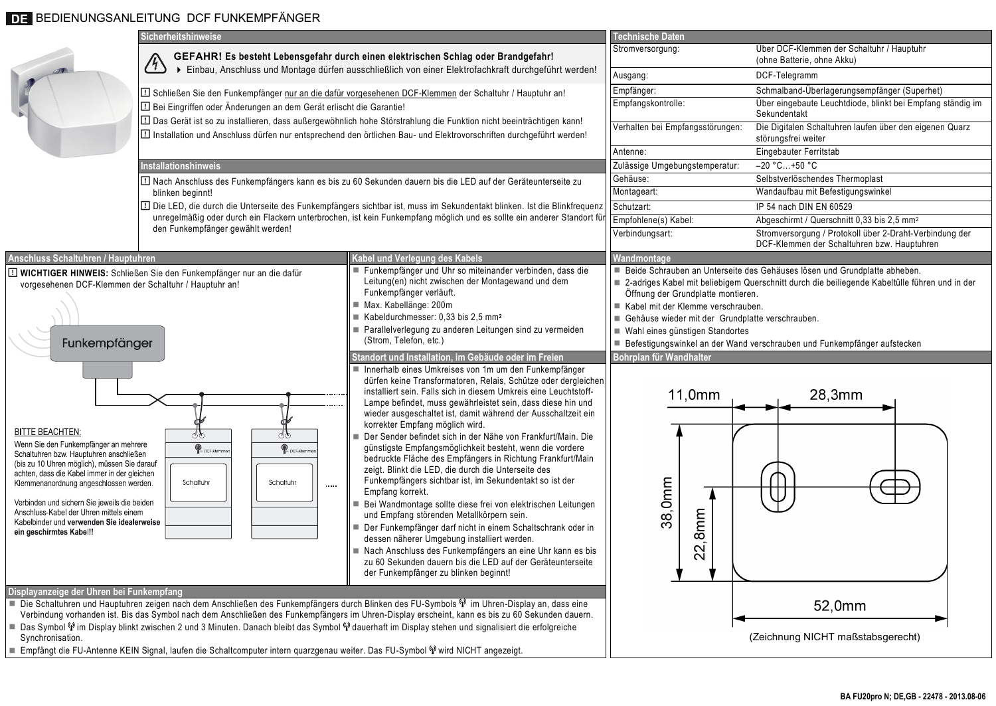## DE BEDIENUNGSANLEITUNG DCF FUNKEMPFÄNGER

|                                                                                                                                                                                                                                                                                                                                                                                                                                                                                                                                                                                                                                                                            | Sicherheitshinweise                                                                                                                                                                                                                                                                                                                                                                                                                                                                                                                                                                                                                                                                          |                                                                                                                                                                                                                                                                                                                                                                                                                                                                                                                                                                                                                                                                                                                                                                                                                                                                                                                                                                                                                                                                                               | <b>Technische Daten</b>                                                                         |                                                                                                                              |  |
|----------------------------------------------------------------------------------------------------------------------------------------------------------------------------------------------------------------------------------------------------------------------------------------------------------------------------------------------------------------------------------------------------------------------------------------------------------------------------------------------------------------------------------------------------------------------------------------------------------------------------------------------------------------------------|----------------------------------------------------------------------------------------------------------------------------------------------------------------------------------------------------------------------------------------------------------------------------------------------------------------------------------------------------------------------------------------------------------------------------------------------------------------------------------------------------------------------------------------------------------------------------------------------------------------------------------------------------------------------------------------------|-----------------------------------------------------------------------------------------------------------------------------------------------------------------------------------------------------------------------------------------------------------------------------------------------------------------------------------------------------------------------------------------------------------------------------------------------------------------------------------------------------------------------------------------------------------------------------------------------------------------------------------------------------------------------------------------------------------------------------------------------------------------------------------------------------------------------------------------------------------------------------------------------------------------------------------------------------------------------------------------------------------------------------------------------------------------------------------------------|-------------------------------------------------------------------------------------------------|------------------------------------------------------------------------------------------------------------------------------|--|
|                                                                                                                                                                                                                                                                                                                                                                                                                                                                                                                                                                                                                                                                            | GEFAHR! Es besteht Lebensgefahr durch einen elektrischen Schlag oder Brandgefahr!<br>(4)<br>Einbau, Anschluss und Montage dürfen ausschließlich von einer Elektrofachkraft durchgeführt werden!                                                                                                                                                                                                                                                                                                                                                                                                                                                                                              |                                                                                                                                                                                                                                                                                                                                                                                                                                                                                                                                                                                                                                                                                                                                                                                                                                                                                                                                                                                                                                                                                               | Stromversorgung:                                                                                | Über DCF-Klemmen der Schaltuhr / Hauptuhr<br>(ohne Batterie, ohne Akku)                                                      |  |
|                                                                                                                                                                                                                                                                                                                                                                                                                                                                                                                                                                                                                                                                            |                                                                                                                                                                                                                                                                                                                                                                                                                                                                                                                                                                                                                                                                                              |                                                                                                                                                                                                                                                                                                                                                                                                                                                                                                                                                                                                                                                                                                                                                                                                                                                                                                                                                                                                                                                                                               | Ausgang:                                                                                        | DCF-Telegramm                                                                                                                |  |
|                                                                                                                                                                                                                                                                                                                                                                                                                                                                                                                                                                                                                                                                            | <b>□</b> Schließen Sie den Funkempfänger nur an die dafür vorgesehenen DCF-Klemmen der Schaltuhr / Hauptuhr an!                                                                                                                                                                                                                                                                                                                                                                                                                                                                                                                                                                              |                                                                                                                                                                                                                                                                                                                                                                                                                                                                                                                                                                                                                                                                                                                                                                                                                                                                                                                                                                                                                                                                                               | Empfänger:                                                                                      | Schmalband-Überlagerungsempfänger (Superhet)                                                                                 |  |
|                                                                                                                                                                                                                                                                                                                                                                                                                                                                                                                                                                                                                                                                            | Bei Eingriffen oder Änderungen an dem Gerät erlischt die Garantie!                                                                                                                                                                                                                                                                                                                                                                                                                                                                                                                                                                                                                           |                                                                                                                                                                                                                                                                                                                                                                                                                                                                                                                                                                                                                                                                                                                                                                                                                                                                                                                                                                                                                                                                                               | Empfangskontrolle:                                                                              | Über eingebaute Leuchtdiode, blinkt bei Empfang ständig im<br>Sekundentakt                                                   |  |
|                                                                                                                                                                                                                                                                                                                                                                                                                                                                                                                                                                                                                                                                            | Das Gerät ist so zu installieren, dass außergewöhnlich hohe Störstrahlung die Funktion nicht beeinträchtigen kann!<br>Installation und Anschluss dürfen nur entsprechend den örtlichen Bau- und Elektrovorschriften durchgeführt werden!<br>nstallationshinweis<br>I Nach Anschluss des Funkempfängers kann es bis zu 60 Sekunden dauern bis die LED auf der Geräteunterseite zu<br>blinken beginnt!<br>Die LED, die durch die Unterseite des Funkempfängers sichtbar ist, muss im Sekundentakt blinken. Ist die Blinkfrequenz<br>unregelmäßig oder durch ein Flackern unterbrochen, ist kein Funkempfang möglich und es sollte ein anderer Standort fü<br>den Funkempfänger gewählt werden! |                                                                                                                                                                                                                                                                                                                                                                                                                                                                                                                                                                                                                                                                                                                                                                                                                                                                                                                                                                                                                                                                                               | Verhalten bei Empfangsstörungen:                                                                | Die Digitalen Schaltuhren laufen über den eigenen Quarz<br>störungsfrei weiter                                               |  |
|                                                                                                                                                                                                                                                                                                                                                                                                                                                                                                                                                                                                                                                                            |                                                                                                                                                                                                                                                                                                                                                                                                                                                                                                                                                                                                                                                                                              |                                                                                                                                                                                                                                                                                                                                                                                                                                                                                                                                                                                                                                                                                                                                                                                                                                                                                                                                                                                                                                                                                               | Antenne:                                                                                        | Eingebauter Ferritstab                                                                                                       |  |
|                                                                                                                                                                                                                                                                                                                                                                                                                                                                                                                                                                                                                                                                            |                                                                                                                                                                                                                                                                                                                                                                                                                                                                                                                                                                                                                                                                                              |                                                                                                                                                                                                                                                                                                                                                                                                                                                                                                                                                                                                                                                                                                                                                                                                                                                                                                                                                                                                                                                                                               | Zulässige Umgebungstemperatur:                                                                  | $-20 °C+50 °C$                                                                                                               |  |
|                                                                                                                                                                                                                                                                                                                                                                                                                                                                                                                                                                                                                                                                            |                                                                                                                                                                                                                                                                                                                                                                                                                                                                                                                                                                                                                                                                                              |                                                                                                                                                                                                                                                                                                                                                                                                                                                                                                                                                                                                                                                                                                                                                                                                                                                                                                                                                                                                                                                                                               | Gehäuse:                                                                                        | Selbstverlöschendes Thermoplast                                                                                              |  |
|                                                                                                                                                                                                                                                                                                                                                                                                                                                                                                                                                                                                                                                                            |                                                                                                                                                                                                                                                                                                                                                                                                                                                                                                                                                                                                                                                                                              |                                                                                                                                                                                                                                                                                                                                                                                                                                                                                                                                                                                                                                                                                                                                                                                                                                                                                                                                                                                                                                                                                               | Montageart:                                                                                     | Wandaufbau mit Befestigungswinkel                                                                                            |  |
|                                                                                                                                                                                                                                                                                                                                                                                                                                                                                                                                                                                                                                                                            |                                                                                                                                                                                                                                                                                                                                                                                                                                                                                                                                                                                                                                                                                              |                                                                                                                                                                                                                                                                                                                                                                                                                                                                                                                                                                                                                                                                                                                                                                                                                                                                                                                                                                                                                                                                                               | Schutzart:                                                                                      | IP 54 nach DIN EN 60529                                                                                                      |  |
|                                                                                                                                                                                                                                                                                                                                                                                                                                                                                                                                                                                                                                                                            |                                                                                                                                                                                                                                                                                                                                                                                                                                                                                                                                                                                                                                                                                              |                                                                                                                                                                                                                                                                                                                                                                                                                                                                                                                                                                                                                                                                                                                                                                                                                                                                                                                                                                                                                                                                                               | Empfohlene(s) Kabel:                                                                            | Abgeschirmt / Querschnitt 0,33 bis 2,5 mm <sup>2</sup>                                                                       |  |
|                                                                                                                                                                                                                                                                                                                                                                                                                                                                                                                                                                                                                                                                            |                                                                                                                                                                                                                                                                                                                                                                                                                                                                                                                                                                                                                                                                                              |                                                                                                                                                                                                                                                                                                                                                                                                                                                                                                                                                                                                                                                                                                                                                                                                                                                                                                                                                                                                                                                                                               | Verbindungsart:                                                                                 | Stromversorgung / Protokoll über 2-Draht-Verbindung der<br>DCF-Klemmen der Schaltuhren bzw. Hauptuhren                       |  |
| Anschluss Schaltuhren / Hauptuhren                                                                                                                                                                                                                                                                                                                                                                                                                                                                                                                                                                                                                                         |                                                                                                                                                                                                                                                                                                                                                                                                                                                                                                                                                                                                                                                                                              | Kabel und Verlegung des Kabels                                                                                                                                                                                                                                                                                                                                                                                                                                                                                                                                                                                                                                                                                                                                                                                                                                                                                                                                                                                                                                                                | Wandmontage                                                                                     |                                                                                                                              |  |
| Funkempfänger und Uhr so miteinander verbinden, dass die<br><b>ID WICHTIGER HINWEIS:</b> Schließen Sie den Funkempfänger nur an die dafür<br>Leitung(en) nicht zwischen der Montagewand und dem<br>vorgesehenen DCF-Klemmen der Schaltuhr / Hauptuhr an!<br>Funkempfänger verläuft.<br>Max. Kabellänge: 200m<br>Kabeldurchmesser: 0,33 bis 2,5 mm <sup>2</sup><br>Parallelverlegung zu anderen Leitungen sind zu vermeiden<br>(Strom, Telefon, etc.)<br>Funkempfänger<br>Standort und Installation, im Gebäude oder im Freien                                                                                                                                              |                                                                                                                                                                                                                                                                                                                                                                                                                                                                                                                                                                                                                                                                                              | Beide Schrauben an Unterseite des Gehäuses lösen und Grundplatte abheben.                                                                                                                                                                                                                                                                                                                                                                                                                                                                                                                                                                                                                                                                                                                                                                                                                                                                                                                                                                                                                     |                                                                                                 |                                                                                                                              |  |
|                                                                                                                                                                                                                                                                                                                                                                                                                                                                                                                                                                                                                                                                            |                                                                                                                                                                                                                                                                                                                                                                                                                                                                                                                                                                                                                                                                                              |                                                                                                                                                                                                                                                                                                                                                                                                                                                                                                                                                                                                                                                                                                                                                                                                                                                                                                                                                                                                                                                                                               | ■ 2-adriges Kabel mit beliebigem Querschnitt durch die beiliegende Kabeltülle führen und in der |                                                                                                                              |  |
|                                                                                                                                                                                                                                                                                                                                                                                                                                                                                                                                                                                                                                                                            |                                                                                                                                                                                                                                                                                                                                                                                                                                                                                                                                                                                                                                                                                              |                                                                                                                                                                                                                                                                                                                                                                                                                                                                                                                                                                                                                                                                                                                                                                                                                                                                                                                                                                                                                                                                                               |                                                                                                 | Offnung der Grundplatte montieren.<br>Kabel mit der Klemme verschrauben.<br>Gehäuse wieder mit der Grundplatte verschrauben. |  |
|                                                                                                                                                                                                                                                                                                                                                                                                                                                                                                                                                                                                                                                                            |                                                                                                                                                                                                                                                                                                                                                                                                                                                                                                                                                                                                                                                                                              |                                                                                                                                                                                                                                                                                                                                                                                                                                                                                                                                                                                                                                                                                                                                                                                                                                                                                                                                                                                                                                                                                               |                                                                                                 |                                                                                                                              |  |
|                                                                                                                                                                                                                                                                                                                                                                                                                                                                                                                                                                                                                                                                            |                                                                                                                                                                                                                                                                                                                                                                                                                                                                                                                                                                                                                                                                                              |                                                                                                                                                                                                                                                                                                                                                                                                                                                                                                                                                                                                                                                                                                                                                                                                                                                                                                                                                                                                                                                                                               | ■ Wahl eines günstigen Standortes                                                               |                                                                                                                              |  |
|                                                                                                                                                                                                                                                                                                                                                                                                                                                                                                                                                                                                                                                                            |                                                                                                                                                                                                                                                                                                                                                                                                                                                                                                                                                                                                                                                                                              |                                                                                                                                                                                                                                                                                                                                                                                                                                                                                                                                                                                                                                                                                                                                                                                                                                                                                                                                                                                                                                                                                               |                                                                                                 | Befestigungswinkel an der Wand verschrauben und Funkempfänger aufstecken                                                     |  |
|                                                                                                                                                                                                                                                                                                                                                                                                                                                                                                                                                                                                                                                                            |                                                                                                                                                                                                                                                                                                                                                                                                                                                                                                                                                                                                                                                                                              |                                                                                                                                                                                                                                                                                                                                                                                                                                                                                                                                                                                                                                                                                                                                                                                                                                                                                                                                                                                                                                                                                               | Bohrplan für Wandhalter                                                                         |                                                                                                                              |  |
| <b>BITTE BEACHTEN:</b><br>Wenn Sie den Funkempfänger an mehrere<br>Schaltuhren bzw. Hauptuhren anschließen<br>(bis zu 10 Uhren möglich), müssen Sie darauf<br>achten, dass die Kabel immer in der gleichen<br>Klemmenanordnung angeschlossen werden.<br>Verbinden und sichern Sie jeweils die beiden<br>Anschluss-Kabel der Uhren mittels einem<br>Kabelbinder und verwenden Sie idealerweise<br>ein geschirmtes Kabel!!                                                                                                                                                                                                                                                   | $\mathbf{Q}_{\text{in }C}$<br>$\overline{\mathbf{P}}$ DCF Kerrm<br>Schaltuhr<br>Schaltuhr<br>                                                                                                                                                                                                                                                                                                                                                                                                                                                                                                                                                                                                | Innerhalb eines Umkreises von 1m um den Funkempfänger<br>dürfen keine Transformatoren, Relais, Schütze oder dergleichen<br>installiert sein. Falls sich in diesem Umkreis eine Leuchtstoff-<br>Lampe befindet, muss gewährleistet sein, dass diese hin und<br>wieder ausgeschaltet ist, damit während der Ausschaltzeit ein<br>korrekter Empfang möglich wird.<br>Der Sender befindet sich in der Nähe von Frankfurt/Main. Die<br>günstigste Empfangsmöglichkeit besteht, wenn die vordere<br>bedruckte Fläche des Empfängers in Richtung Frankfurt/Main<br>zeigt. Blinkt die LED, die durch die Unterseite des<br>Funkempfängers sichtbar ist, im Sekundentakt so ist der<br>Empfang korrekt.<br>Bei Wandmontage sollte diese frei von elektrischen Leitungen<br>und Empfang störenden Metallkörpern sein.<br>Der Funkempfänger darf nicht in einem Schaltschrank oder in<br>dessen näherer Umgebung installiert werden.<br>Nach Anschluss des Funkempfängers an eine Uhr kann es bis<br>zu 60 Sekunden dauern bis die LED auf der Geräteunterseite<br>der Funkempfänger zu blinken beginnt! | 11,0mm<br>38,0mm<br>8mm<br>22,                                                                  | 28,3mm                                                                                                                       |  |
| Displayanzeige der Uhren bei Funkempfang<br>■ Die Schaltuhren und Hauptuhren zeigen nach dem Anschließen des Funkempfängers durch Blinken des FU-Symbols % im Uhren-Display an, dass eine<br>Verbindung vorhanden ist. Bis das Symbol nach dem Anschließen des Funkempfängers im Uhren-Display erscheint, kann es bis zu 60 Sekunden dauern.<br>■ Das Symbol �� im Display blinkt zwischen 2 und 3 Minuten. Danach bleibt das Symbol �� dauerhaft im Display stehen und signalisiert die erfolgreiche<br>Synchronisation.<br>■ Empfängt die FU-Antenne KEIN Signal, laufen die Schaltcomputer intern quarzgenau weiter. Das FU-Symbol <sup>(a)</sup> wird NICHT angezeigt. |                                                                                                                                                                                                                                                                                                                                                                                                                                                                                                                                                                                                                                                                                              |                                                                                                                                                                                                                                                                                                                                                                                                                                                                                                                                                                                                                                                                                                                                                                                                                                                                                                                                                                                                                                                                                               |                                                                                                 | 52,0mm<br>(Zeichnung NICHT maßstabsgerecht)                                                                                  |  |
|                                                                                                                                                                                                                                                                                                                                                                                                                                                                                                                                                                                                                                                                            |                                                                                                                                                                                                                                                                                                                                                                                                                                                                                                                                                                                                                                                                                              |                                                                                                                                                                                                                                                                                                                                                                                                                                                                                                                                                                                                                                                                                                                                                                                                                                                                                                                                                                                                                                                                                               |                                                                                                 |                                                                                                                              |  |